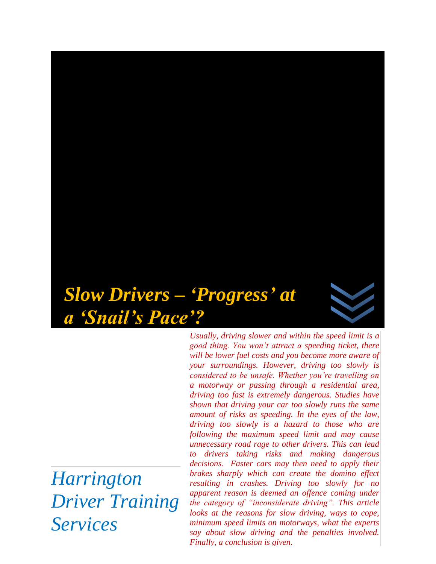# *Slow Drivers – 'Progress' at a 'Snail's Pace'?*

*Harrington Driver Training Services* 

*Usually, driving slower and within the speed limit is a good thing. You won't attract a speeding ticket, there will be lower fuel costs and you become more aware of your surroundings. However, driving too slowly is considered to be unsafe. Whether you're travelling on a motorway or passing through a residential area, driving too fast is extremely dangerous. Studies have shown that driving your car too slowly runs the same amount of risks as speeding. In the eyes of the law, driving too slowly is a hazard to those who are following the maximum speed limit and may cause unnecessary road rage to other drivers. This can lead to drivers taking risks and making dangerous decisions. Faster cars may then need to apply their brakes sharply which can create the domino effect resulting in crashes. Driving too slowly for no apparent reason is deemed an offence coming under the category of "inconsiderate driving". This article looks at the reasons for slow driving, ways to cope, minimum speed limits on motorways, what the experts say about slow driving and the penalties involved. Finally, a conclusion is given.*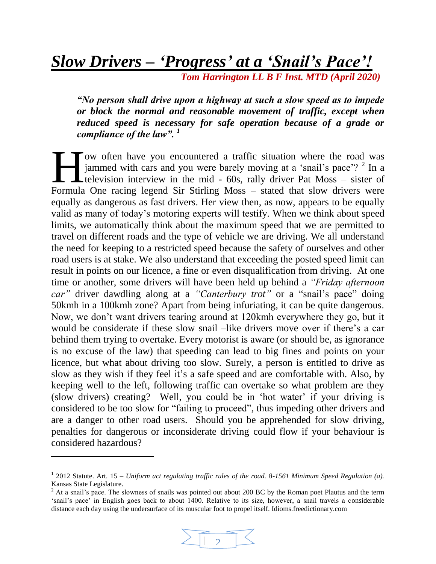# *Slow Drivers – 'Progress' at a 'Snail's Pace'!*

 *Tom Harrington LL B F Inst. MTD (April 2020)*

*"No person shall drive upon a highway at such a slow speed as to impede or block the normal and reasonable movement of traffic, except when reduced speed is necessary for safe operation because of a grade or compliance of the law". <sup>1</sup>*

ow often have you encountered a traffic situation where the road was jammed with cars and you were barely moving at a 'snail's pace'?<sup>2</sup> In a television interview in the mid - 60s, rally driver Pat Moss – sister of Formula One racing legend Sir Stirling Moss – stated that slow drivers were formula One racing legend Sir Stirling Moss – stated that slow drivers were equally as dangerous as fast drivers. Her view then, as now, appears to be equally valid as many of today's motoring experts will testify. When we think about speed limits, we automatically think about the maximum speed that we are permitted to travel on different roads and the type of vehicle we are driving. We all understand the need for keeping to a restricted speed because the safety of ourselves and other road users is at stake. We also understand that exceeding the posted speed limit can result in points on our licence, a fine or even disqualification from driving. At one time or another, some drivers will have been held up behind a *"Friday afternoon car"* driver dawdling along at a *"Canterbury trot"* or a "snail's pace" doing 50kmh in a 100kmh zone? Apart from being infuriating, it can be quite dangerous. Now, we don't want drivers tearing around at 120kmh everywhere they go, but it would be considerate if these slow snail –like drivers move over if there's a car behind them trying to overtake. Every motorist is aware (or should be, as ignorance is no excuse of the law) that speeding can lead to big fines and points on your licence, but what about driving too slow. Surely, a person is entitled to drive as slow as they wish if they feel it's a safe speed and are comfortable with. Also, by keeping well to the left, following traffic can overtake so what problem are they (slow drivers) creating? Well, you could be in 'hot water' if your driving is considered to be too slow for "failing to proceed", thus impeding other drivers and are a danger to other road users. Should you be apprehended for slow driving, penalties for dangerous or inconsiderate driving could flow if your behaviour is considered hazardous?

l

 $2$  At a snail's pace. The slowness of snails was pointed out about 200 BC by the Roman poet Plautus and the term 'snail's pace' in English goes back to about 1400. Relative to its size, however, a snail travels a considerable distance each day using the undersurface of its muscular foot to propel itself. Idioms.freedictionary.com



<sup>&</sup>lt;sup>1</sup> 2012 Statute. Art. 15 – *Uniform act regulating traffic rules of the road. 8-1561 Minimum Speed Regulation (a).* Kansas State Legislature.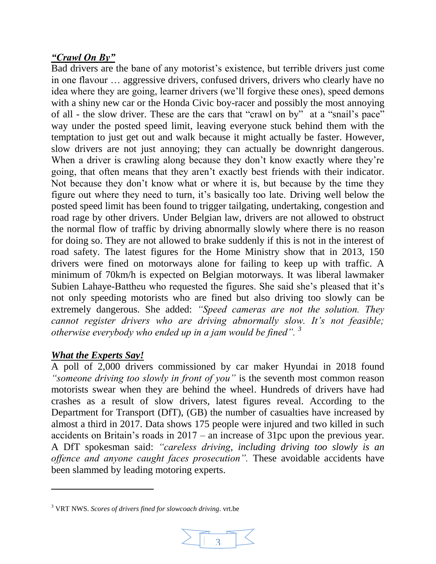### *"Crawl On By"*

Bad drivers are the bane of any motorist's existence, but terrible drivers just come in one flavour … aggressive drivers, confused drivers, drivers who clearly have no idea where they are going, learner drivers (we'll forgive these ones), speed demons with a shiny new car or the Honda Civic boy-racer and possibly the most annoying of all - the slow driver. These are the cars that "crawl on by" at a "snail's pace" way under the posted speed limit, leaving everyone stuck behind them with the temptation to just get out and walk because it might actually be faster. However, slow drivers are not just annoying; they can actually be downright dangerous. When a driver is crawling along because they don't know exactly where they're going, that often means that they aren't exactly best friends with their indicator. Not because they don't know what or where it is, but because by the time they figure out where they need to turn, it's basically too late. Driving well below the posted speed limit has been found to trigger tailgating, undertaking, congestion and road rage by other drivers. Under Belgian law, drivers are not allowed to obstruct the normal flow of traffic by driving abnormally slowly where there is no reason for doing so. They are not allowed to brake suddenly if this is not in the interest of road safety. The latest figures for the Home Ministry show that in 2013, 150 drivers were fined on motorways alone for failing to keep up with traffic. A minimum of 70km/h is expected on Belgian motorways. It was liberal lawmaker Subien Lahaye-Battheu who requested the figures. She said she's pleased that it's not only speeding motorists who are fined but also driving too slowly can be extremely dangerous. She added: *"Speed cameras are not the solution. They cannot register drivers who are driving abnormally slow. It's not feasible; otherwise everybody who ended up in a jam would be fined". <sup>3</sup>*

# *What the Experts Say!*

 $\overline{a}$ 

A poll of 2,000 drivers commissioned by car maker Hyundai in 2018 found *"someone driving too slowly in front of you"* is the seventh most common reason motorists swear when they are behind the wheel. Hundreds of drivers have had crashes as a result of slow drivers, latest figures reveal. According to the Department for Transport (DfT), (GB) the number of casualties have increased by almost a third in 2017. Data shows 175 people were injured and two killed in such accidents on Britain's roads in 2017 – an increase of 31pc upon the previous year. A DfT spokesman said: *"careless driving, including driving too slowly is an offence and anyone caught faces prosecution".* These avoidable accidents have been slammed by leading motoring experts.

<sup>3</sup> VRT NWS. *Scores of drivers fined for slowcoach driving*. vrt.be

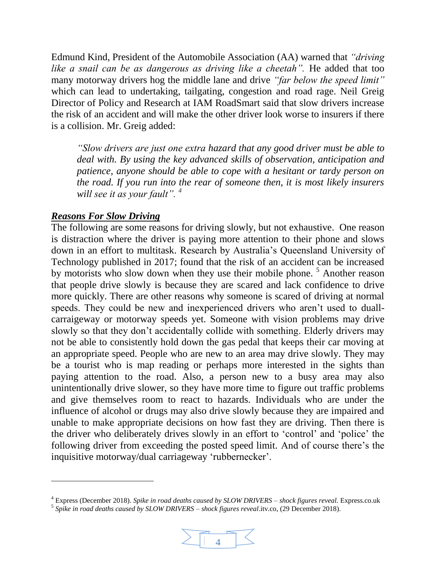Edmund Kind, President of the Automobile Association (AA) warned that *"driving like a snail can be as dangerous as driving like a cheetah".* He added that too many motorway drivers hog the middle lane and drive *"far below the speed limit"* which can lead to undertaking, tailgating, congestion and road rage. Neil Greig Director of Policy and Research at IAM RoadSmart said that slow drivers increase the risk of an accident and will make the other driver look worse to insurers if there is a collision. Mr. Greig added:

*"Slow drivers are just one extra hazard that any good driver must be able to deal with. By using the key advanced skills of observation, anticipation and patience, anyone should be able to cope with a hesitant or tardy person on the road. If you run into the rear of someone then, it is most likely insurers will see it as your fault". <sup>4</sup>*

#### *Reasons For Slow Driving*

l

The following are some reasons for driving slowly, but not exhaustive. One reason is distraction where the driver is paying more attention to their phone and slows down in an effort to multitask. Research by Australia's Queensland University of Technology published in 2017; found that the risk of an accident can be increased by motorists who slow down when they use their mobile phone.<sup>5</sup> Another reason that people drive slowly is because they are scared and lack confidence to drive more quickly. There are other reasons why someone is scared of driving at normal speeds. They could be new and inexperienced drivers who aren't used to duallcarraigeway or motorway speeds yet. Someone with vision problems may drive slowly so that they don't accidentally collide with something. Elderly drivers may not be able to consistently hold down the gas pedal that keeps their car moving at an appropriate speed. People who are new to an area may drive slowly. They may be a tourist who is map reading or perhaps more interested in the sights than paying attention to the road. Also, a person new to a busy area may also unintentionally drive slower, so they have more time to figure out traffic problems and give themselves room to react to hazards. Individuals who are under the influence of alcohol or drugs may also drive slowly because they are impaired and unable to make appropriate decisions on how fast they are driving. Then there is the driver who deliberately drives slowly in an effort to 'control' and 'police' the following driver from exceeding the posted speed limit. And of course there's the inquisitive motorway/dual carriageway 'rubbernecker'.

<sup>5</sup> *Spike in road deaths caused by SLOW DRIVERS – shock figures reveal*.itv.co, (29 December 2018).



<sup>4</sup> Express (December 2018). *Spike in road deaths caused by SLOW DRIVERS – shock figures reveal.* Express.co.uk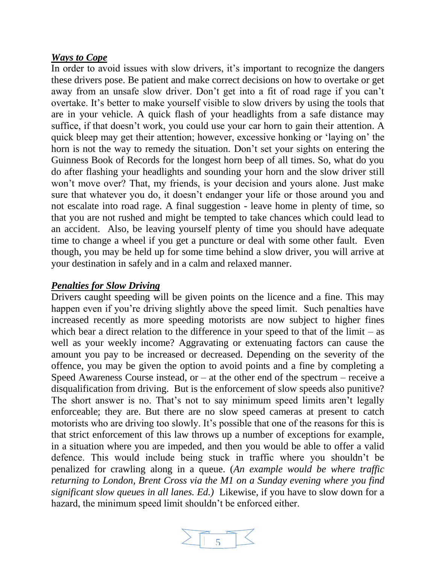#### *Ways to Cope*

In order to avoid issues with slow drivers, it's important to recognize the dangers these drivers pose. Be patient and make correct decisions on how to overtake or get away from an unsafe slow driver. Don't get into a fit of road rage if you can't overtake. It's better to make yourself visible to slow drivers by using the tools that are in your vehicle. A quick flash of your headlights from a safe distance may suffice, if that doesn't work, you could use your car horn to gain their attention. A quick bleep may get their attention; however, excessive honking or 'laying on' the horn is not the way to remedy the situation. Don't set your sights on entering the Guinness Book of Records for the longest horn beep of all times. So, what do you do after flashing your headlights and sounding your horn and the slow driver still won't move over? That, my friends, is your decision and yours alone. Just make sure that whatever you do, it doesn't endanger your life or those around you and not escalate into road rage. A final suggestion - leave home in plenty of time, so that you are not rushed and might be tempted to take chances which could lead to an accident. Also, be leaving yourself plenty of time you should have adequate time to change a wheel if you get a puncture or deal with some other fault. Even though, you may be held up for some time behind a slow driver, you will arrive at your destination in safely and in a calm and relaxed manner.

#### *Penalties for Slow Driving*

Drivers caught speeding will be given points on the licence and a fine. This may happen even if you're driving slightly above the speed limit. Such penalties have increased recently as more speeding motorists are now subject to higher fines which bear a direct relation to the difference in your speed to that of the limit – as well as your weekly income? Aggravating or extenuating factors can cause the amount you pay to be increased or decreased. Depending on the severity of the offence, you may be given the option to avoid points and a fine by completing a Speed Awareness Course instead, or  $-$  at the other end of the spectrum  $-$  receive a disqualification from driving. But is the enforcement of slow speeds also punitive? The short answer is no. That's not to say minimum speed limits aren't legally enforceable; they are. But there are no slow speed cameras at present to catch motorists who are driving too slowly. It's possible that one of the reasons for this is that strict enforcement of this law throws up a number of exceptions for example, in a situation where you are impeded, and then you would be able to offer a valid defence. This would include being stuck in traffic where you shouldn't be penalized for crawling along in a queue. (*An example would be where traffic returning to London, Brent Cross via the M1 on a Sunday evening where you find significant slow queues in all lanes. Ed.)* Likewise, if you have to slow down for a hazard, the minimum speed limit shouldn't be enforced either.

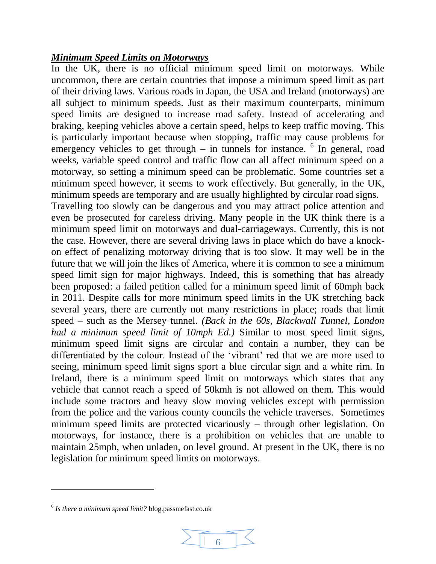#### *Minimum Speed Limits on Motorways*

In the UK, there is no official minimum speed limit on motorways. While uncommon, there are certain countries that impose a minimum speed limit as part of their driving laws. Various roads in Japan, the USA and Ireland (motorways) are all subject to minimum speeds. Just as their maximum counterparts, minimum speed limits are designed to increase road safety. Instead of accelerating and braking, keeping vehicles above a certain speed, helps to keep traffic moving. This is particularly important because when stopping, traffic may cause problems for emergency vehicles to get through  $-$  in tunnels for instance.  $6$  In general, road weeks, variable speed control and traffic flow can all affect minimum speed on a motorway, so setting a minimum speed can be problematic. Some countries set a minimum speed however, it seems to work effectively. But generally, in the UK, minimum speeds are temporary and are usually highlighted by circular road signs. Travelling too slowly can be dangerous and you may attract police attention and even be prosecuted for careless driving. Many people in the UK think there is a minimum speed limit on motorways and dual-carriageways. Currently, this is not the case. However, there are several driving laws in place which do have a knockon effect of penalizing motorway driving that is too slow. It may well be in the future that we will join the likes of America, where it is common to see a minimum speed limit sign for major highways. Indeed, this is something that has already been proposed: a failed petition called for a minimum speed limit of 60mph back in 2011. Despite calls for more minimum speed limits in the UK stretching back several years, there are currently not many restrictions in place; roads that limit speed – such as the Mersey tunnel. *(Back in the 60s, Blackwall Tunnel, London had a minimum speed limit of 10mph Ed.)* Similar to most speed limit signs, minimum speed limit signs are circular and contain a number, they can be differentiated by the colour. Instead of the 'vibrant' red that we are more used to seeing, minimum speed limit signs sport a blue circular sign and a white rim. In Ireland, there is a minimum speed limit on motorways which states that any vehicle that cannot reach a speed of 50kmh is not allowed on them. This would include some tractors and heavy slow moving vehicles except with permission from the police and the various county councils the vehicle traverses. Sometimes minimum speed limits are protected vicariously – through other legislation. On motorways, for instance, there is a prohibition on vehicles that are unable to maintain 25mph, when unladen, on level ground. At present in the UK, there is no legislation for minimum speed limits on motorways.

 $\overline{a}$ 



<sup>6</sup> *Is there a minimum speed limit?* blog.passmefast.co.uk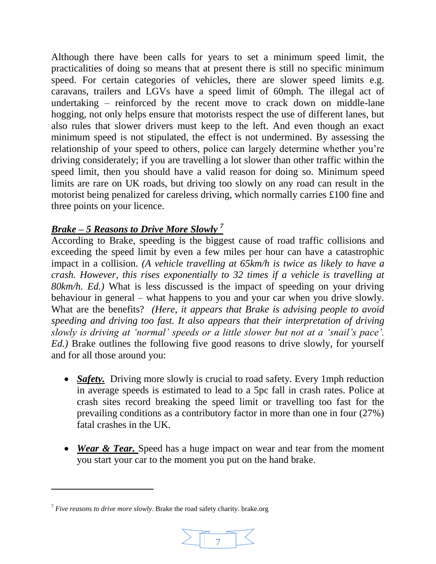Although there have been calls for years to set a minimum speed limit, the practicalities of doing so means that at present there is still no specific minimum speed. For certain categories of vehicles, there are slower speed limits e.g. caravans, trailers and LGVs have a speed limit of 60mph. The illegal act of undertaking – reinforced by the recent move to crack down on middle-lane hogging, not only helps ensure that motorists respect the use of different lanes, but also rules that slower drivers must keep to the left. And even though an exact minimum speed is not stipulated, the effect is not undermined. By assessing the relationship of your speed to others, police can largely determine whether you're driving considerately; if you are travelling a lot slower than other traffic within the speed limit, then you should have a valid reason for doing so. Minimum speed limits are rare on UK roads, but driving too slowly on any road can result in the motorist being penalized for careless driving, which normally carries £100 fine and three points on your licence.

# *Brake – 5 Reasons to Drive More Slowly <sup>7</sup>*

According to Brake, speeding is the biggest cause of road traffic collisions and exceeding the speed limit by even a few miles per hour can have a catastrophic impact in a collision. *(A vehicle travelling at 65km/h is twice as likely to have a crash. However, this rises exponentially to 32 times if a vehicle is travelling at 80km/h. Ed.)* What is less discussed is the impact of speeding on your driving behaviour in general – what happens to you and your car when you drive slowly. What are the benefits? *(Here, it appears that Brake is advising people to avoid speeding and driving too fast. It also appears that their interpretation of driving slowly is driving at 'normal' speeds or a little slower but not at a 'snail's pace'. Ed.)* Brake outlines the following five good reasons to drive slowly, for yourself and for all those around you:

- *Safety*. Driving more slowly is crucial to road safety. Every 1mph reduction in average speeds is estimated to lead to a 5pc fall in crash rates. Police at crash sites record breaking the speed limit or travelling too fast for the prevailing conditions as a contributory factor in more than one in four (27%) fatal crashes in the UK.
- *Wear & Tear.* Speed has a huge impact on wear and tear from the moment you start your car to the moment you put on the hand brake.

 $\overline{a}$ 



<sup>7</sup> *Five reasons to drive more slowly*. Brake the road safety charity. brake.org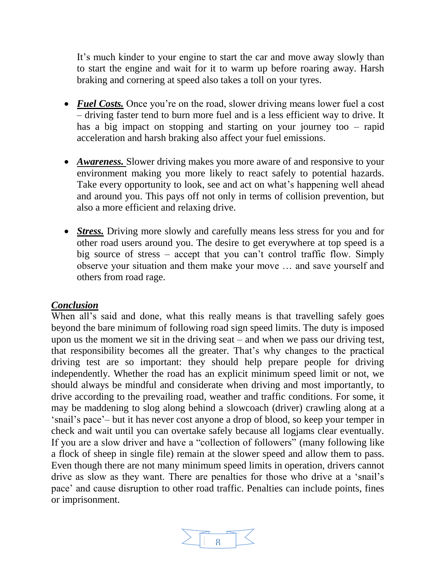It's much kinder to your engine to start the car and move away slowly than to start the engine and wait for it to warm up before roaring away. Harsh braking and cornering at speed also takes a toll on your tyres.

- *Fuel Costs.* Once you're on the road, slower driving means lower fuel a cost – driving faster tend to burn more fuel and is a less efficient way to drive. It has a big impact on stopping and starting on your journey too – rapid acceleration and harsh braking also affect your fuel emissions.
- *Awareness.* Slower driving makes you more aware of and responsive to your environment making you more likely to react safely to potential hazards. Take every opportunity to look, see and act on what's happening well ahead and around you. This pays off not only in terms of collision prevention, but also a more efficient and relaxing drive.
- *Stress.* Driving more slowly and carefully means less stress for you and for other road users around you. The desire to get everywhere at top speed is a big source of stress – accept that you can't control traffic flow. Simply observe your situation and them make your move … and save yourself and others from road rage.

#### *Conclusion*

When all's said and done, what this really means is that travelling safely goes beyond the bare minimum of following road sign speed limits. The duty is imposed upon us the moment we sit in the driving seat – and when we pass our driving test, that responsibility becomes all the greater. That's why changes to the practical driving test are so important: they should help prepare people for driving independently. Whether the road has an explicit minimum speed limit or not, we should always be mindful and considerate when driving and most importantly, to drive according to the prevailing road, weather and traffic conditions. For some, it may be maddening to slog along behind a slowcoach (driver) crawling along at a 'snail's pace'– but it has never cost anyone a drop of blood, so keep your temper in check and wait until you can overtake safely because all logjams clear eventually. If you are a slow driver and have a "collection of followers" (many following like a flock of sheep in single file) remain at the slower speed and allow them to pass. Even though there are not many minimum speed limits in operation, drivers cannot drive as slow as they want. There are penalties for those who drive at a 'snail's pace' and cause disruption to other road traffic. Penalties can include points, fines or imprisonment.